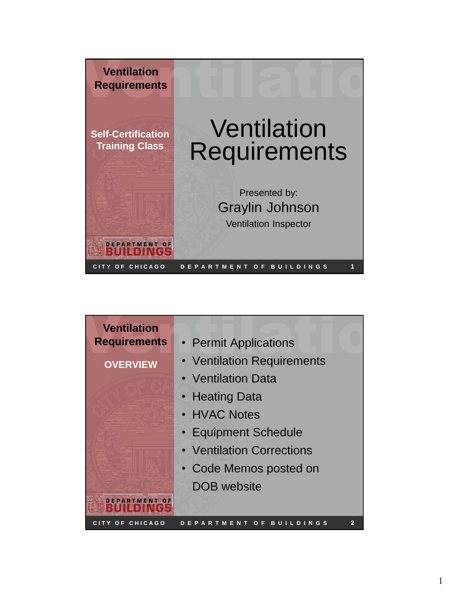

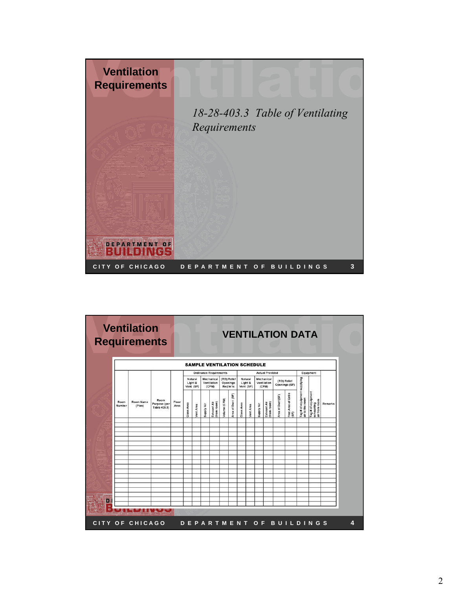

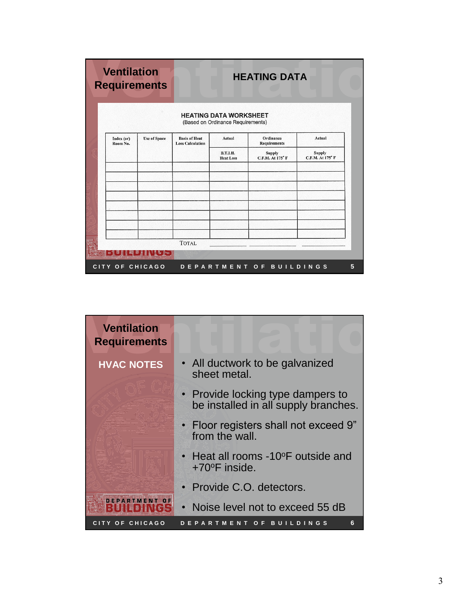|                        | <b>Requirements</b> |                                                 |                                                                    |                                   |                            |
|------------------------|---------------------|-------------------------------------------------|--------------------------------------------------------------------|-----------------------------------|----------------------------|
|                        |                     |                                                 | <b>HEATING DATA WORKSHEET</b><br>(Based on Ordinance Requirements) |                                   |                            |
| Index (or)<br>Room No. | <b>Use of Space</b> | <b>Basis of Heat</b><br><b>Loss Calculation</b> | Actual                                                             | Ordinance<br><b>Requirements</b>  | Actual                     |
|                        |                     |                                                 | B.T.I.H.<br><b>Heat Loss</b>                                       | <b>Supply</b><br>C.F.M. At 175' F | Supply<br>C.F.M. At 175° F |
|                        |                     |                                                 |                                                                    |                                   |                            |
|                        |                     |                                                 |                                                                    |                                   |                            |
|                        |                     |                                                 |                                                                    |                                   |                            |
|                        |                     | <b>TOTAL</b>                                    |                                                                    |                                   |                            |

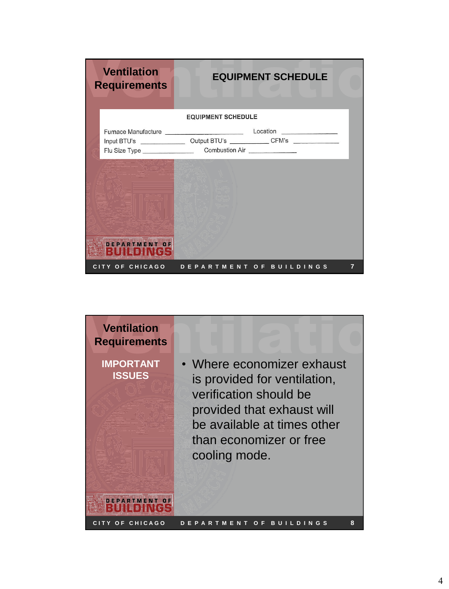

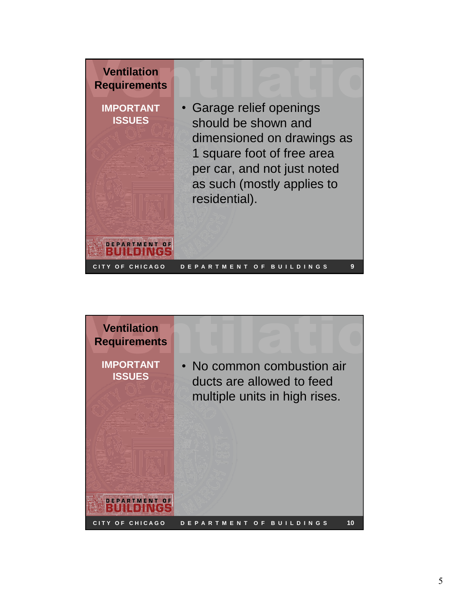

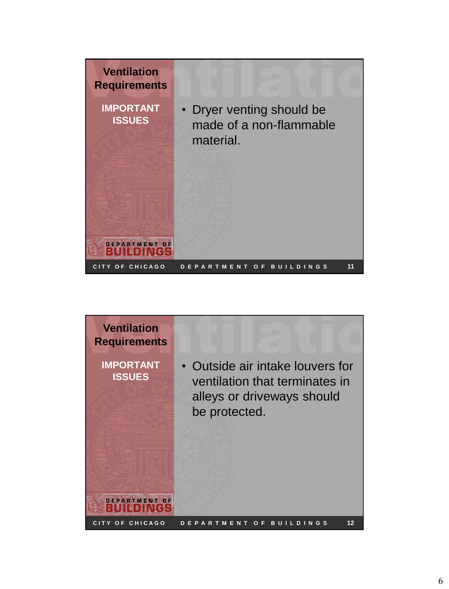

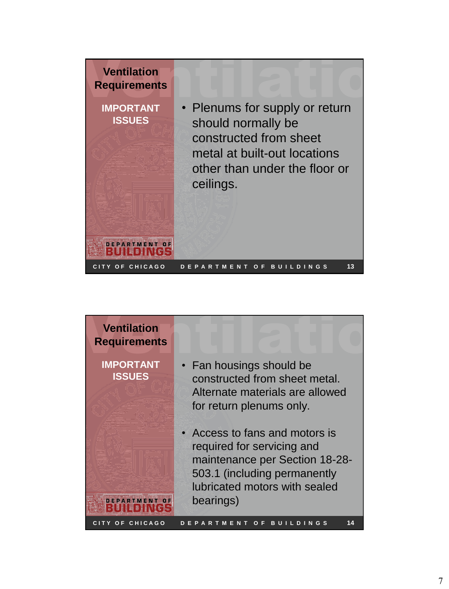

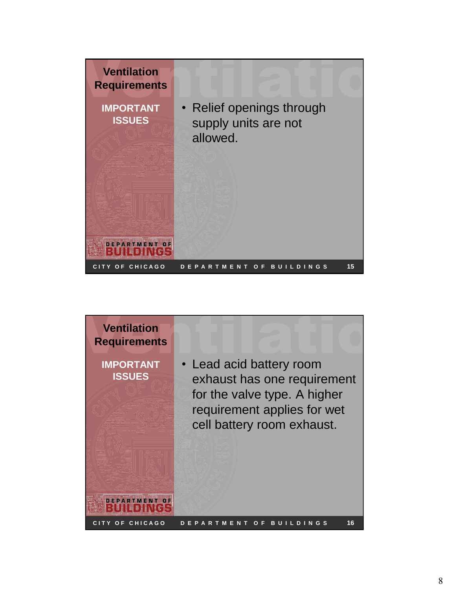

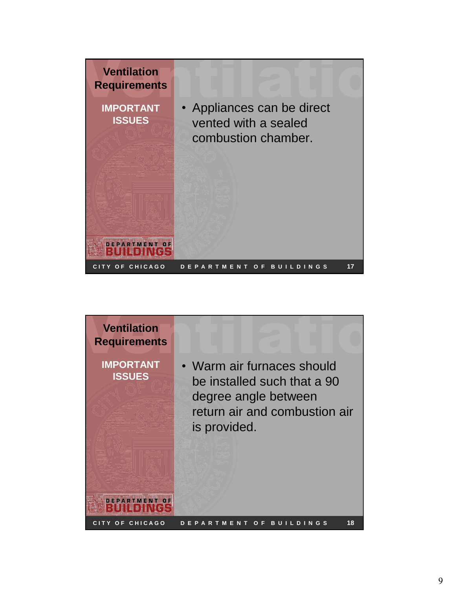

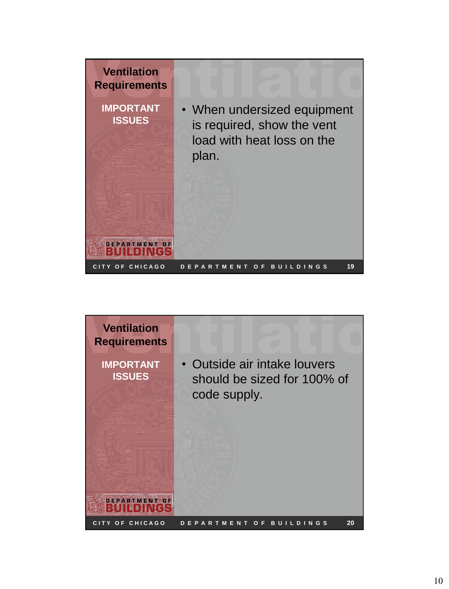

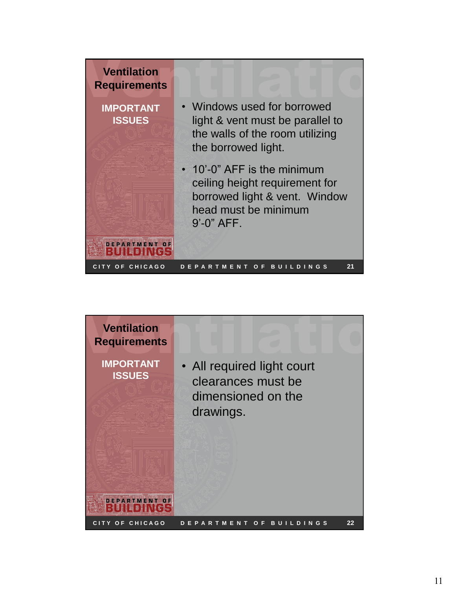

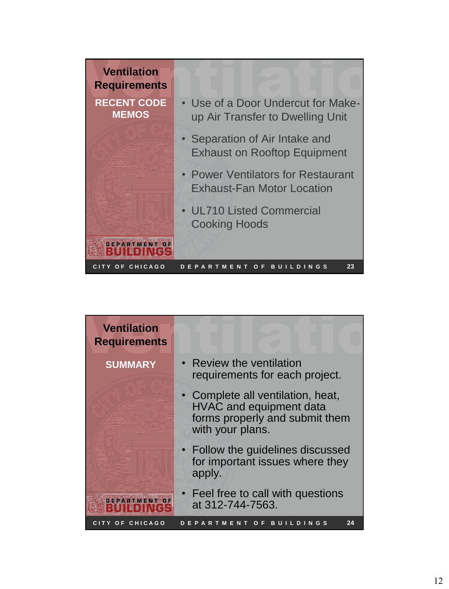

| <b>Ventilation</b><br><b>Requirements</b> |                                                                                                                           |
|-------------------------------------------|---------------------------------------------------------------------------------------------------------------------------|
| <b>SUMMARY</b>                            | • Review the ventilation<br>requirements for each project.                                                                |
|                                           | • Complete all ventilation, heat,<br><b>HVAC and equipment data</b><br>forms properly and submit them<br>with your plans. |
|                                           | • Follow the guidelines discussed<br>for important issues where they<br>apply.                                            |
| DEPARTMENT OF                             | • Feel free to call with questions<br>at 312-744-7563.                                                                    |
| Y OF CHICAGO                              | 24<br><b>BUILDINGS</b><br>O F.<br>EN<br>м                                                                                 |